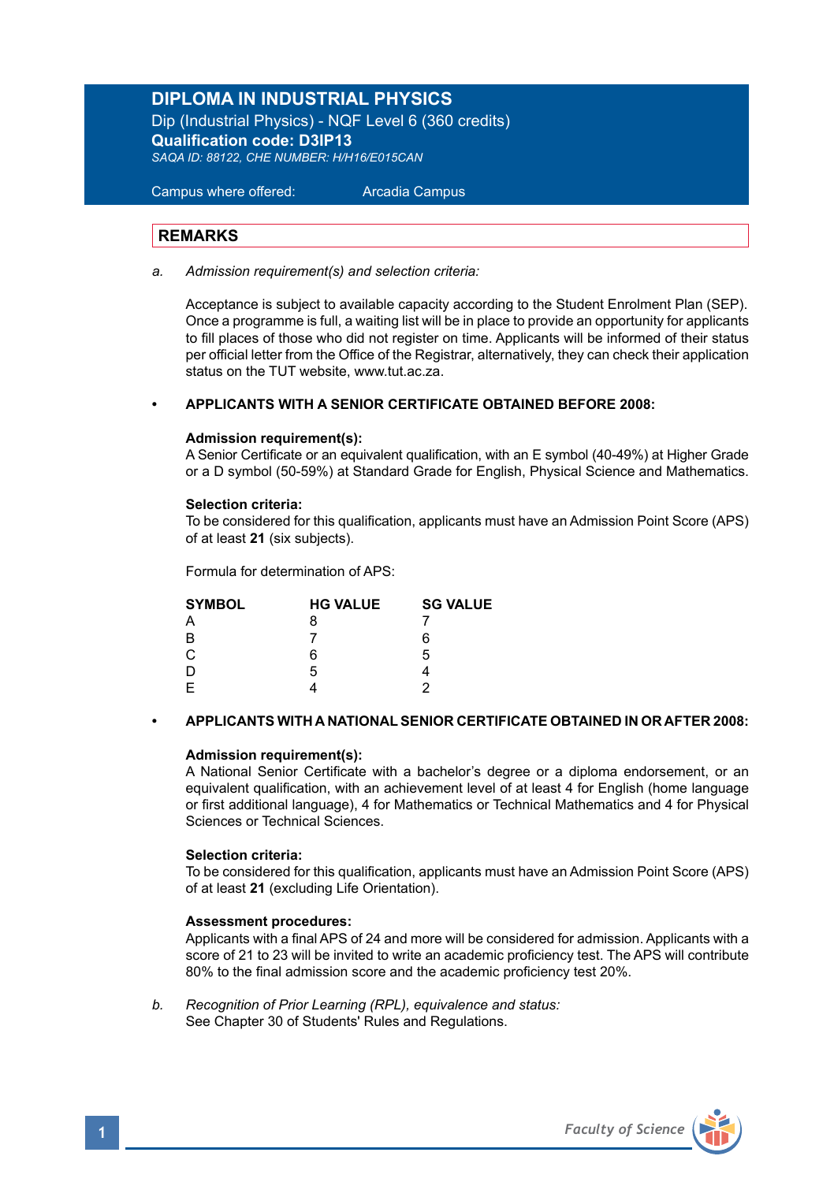## **DIPLOMA IN INDUSTRIAL PHYSICS**

Dip (Industrial Physics) - NQF Level 6 (360 credits) **Qualification code: D3IP13** *SAQA ID: 88122, CHE NUMBER: H/H16/E015CAN* 

Campus where offered: Arcadia Campus

## **REMARKS**

*a. Admission requirement(s) and selection criteria:* 

Acceptance is subject to available capacity according to the Student Enrolment Plan (SEP). Once a programme is full, a waiting list will be in place to provide an opportunity for applicants to fill places of those who did not register on time. Applicants will be informed of their status per official letter from the Office of the Registrar, alternatively, they can check their application status on the TUT website, www.tut.ac.za.

## **• APPLICANTS WITH A SENIOR CERTIFICATE OBTAINED BEFORE 2008:**

### **Admission requirement(s):**

A Senior Certificate or an equivalent qualification, with an E symbol (40-49%) at Higher Grade or a D symbol (50-59%) at Standard Grade for English, Physical Science and Mathematics.

### **Selection criteria:**

To be considered for this qualification, applicants must have an Admission Point Score (APS) of at least **21** (six subjects).

Formula for determination of APS:

| <b>SYMBOL</b> | <b>HG VALUE</b> | <b>SG VALUE</b> |
|---------------|-----------------|-----------------|
| Α             | 8               |                 |
| B             |                 | 6               |
| C             | 6               | 5               |
| D             | 5               |                 |
| F             |                 | っ               |

### **• APPLICANTS WITH A NATIONAL SENIOR CERTIFICATE OBTAINED IN OR AFTER 2008:**

### **Admission requirement(s):**

A National Senior Certificate with a bachelor's degree or a diploma endorsement, or an equivalent qualification, with an achievement level of at least 4 for English (home language or first additional language), 4 for Mathematics or Technical Mathematics and 4 for Physical Sciences or Technical Sciences.

### **Selection criteria:**

To be considered for this qualification, applicants must have an Admission Point Score (APS) of at least **21** (excluding Life Orientation).

### **Assessment procedures:**

Applicants with a final APS of 24 and more will be considered for admission. Applicants with a score of 21 to 23 will be invited to write an academic proficiency test. The APS will contribute 80% to the final admission score and the academic proficiency test 20%.

*b. Recognition of Prior Learning (RPL), equivalence and status:* See Chapter 30 of Students' Rules and Regulations.

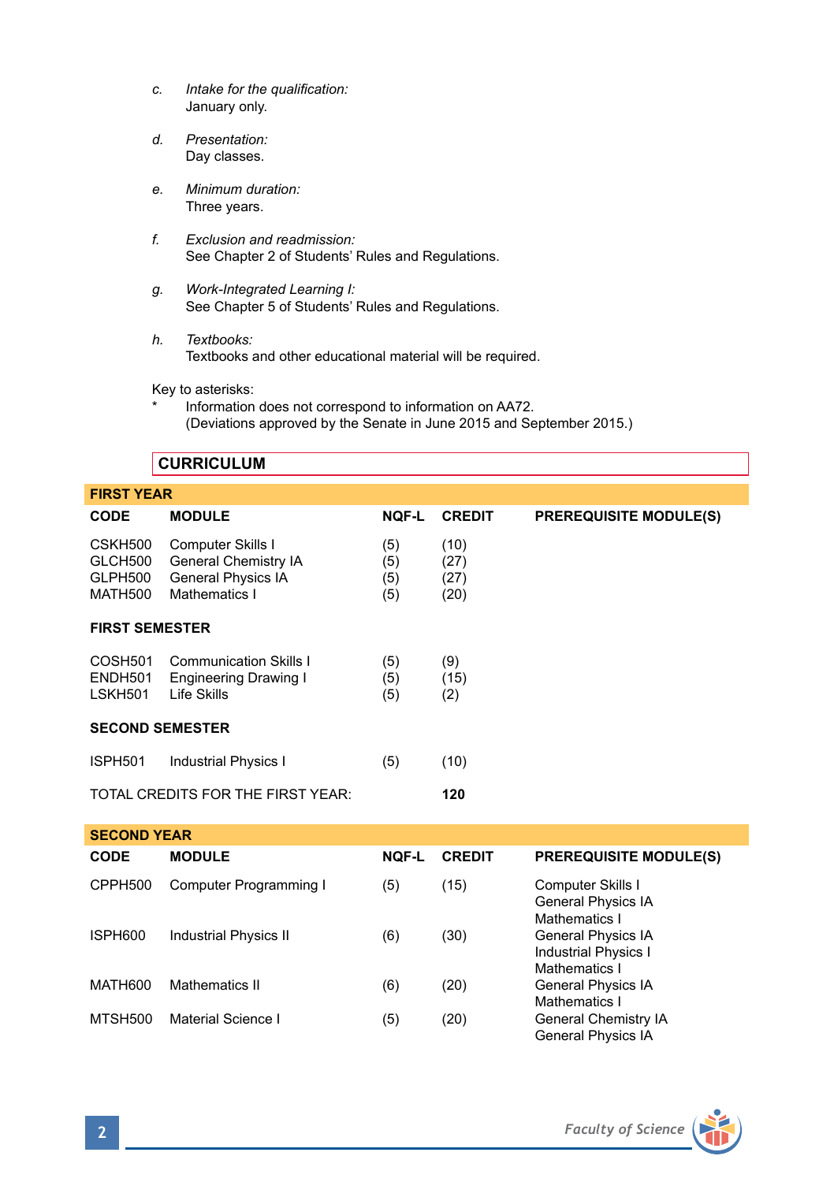- *c. Intake for the qualification:* January only.
- *d. Presentation:* Day classes.
- *e. Minimum duration:* Three years.
- *f. Exclusion and readmission:* See Chapter 2 of Students' Rules and Regulations.
- *g. Work-Integrated Learning I:* See Chapter 5 of Students' Rules and Regulations.
- *h. Textbooks:* Textbooks and other educational material will be required.

Key to asterisks:

Information does not correspond to information on AA72. (Deviations approved by the Senate in June 2015 and September 2015.)

## **CURRICULUM**

| <b>FIRST YEAR</b>                                |                                                                                         |                          |                              |                               |
|--------------------------------------------------|-----------------------------------------------------------------------------------------|--------------------------|------------------------------|-------------------------------|
| <b>CODE</b>                                      | <b>MODULE</b>                                                                           | <b>NQF-L</b>             | <b>CREDIT</b>                | <b>PREREQUISITE MODULE(S)</b> |
| CSKH500<br>GLCH500<br>GLPH500<br><b>MATH500</b>  | Computer Skills I<br>General Chemistry IA<br><b>General Physics IA</b><br>Mathematics I | (5)<br>(5)<br>(5)<br>(5) | (10)<br>(27)<br>(27)<br>(20) |                               |
| <b>FIRST SEMESTER</b>                            |                                                                                         |                          |                              |                               |
| COSH <sub>501</sub><br>ENDH501<br><b>LSKH501</b> | <b>Communication Skills I</b><br><b>Engineering Drawing I</b><br>Life Skills            | (5)<br>(5)<br>(5)        | (9)<br>(15)<br>(2)           |                               |
| <b>SECOND SEMESTER</b>                           |                                                                                         |                          |                              |                               |
| ISPH501                                          | <b>Industrial Physics I</b>                                                             | (5)                      | (10)                         |                               |
|                                                  | TOTAL CREDITS FOR THE FIRST YEAR:                                                       |                          | 120                          |                               |
| <b>SECOND YEAR</b>                               |                                                                                         |                          |                              |                               |

| <b>CODE</b> | <b>MODULE</b>                | <b>NOF-L</b> | <b>CREDIT</b> | <b>PREREQUISITE MODULE(S)</b>                                      |
|-------------|------------------------------|--------------|---------------|--------------------------------------------------------------------|
| CPPH500     | Computer Programming I       | (5)          | (15)          | Computer Skills I<br>General Physics IA<br>Mathematics I           |
| ISPH600     | <b>Industrial Physics II</b> | (6)          | (30)          | General Physics IA<br><b>Industrial Physics I</b><br>Mathematics I |
| MATH600     | Mathematics II               | (6)          | (20)          | General Physics IA<br>Mathematics I                                |
| MTSH500     | Material Science I           | (5)          | (20)          | General Chemistry IA<br><b>General Physics IA</b>                  |

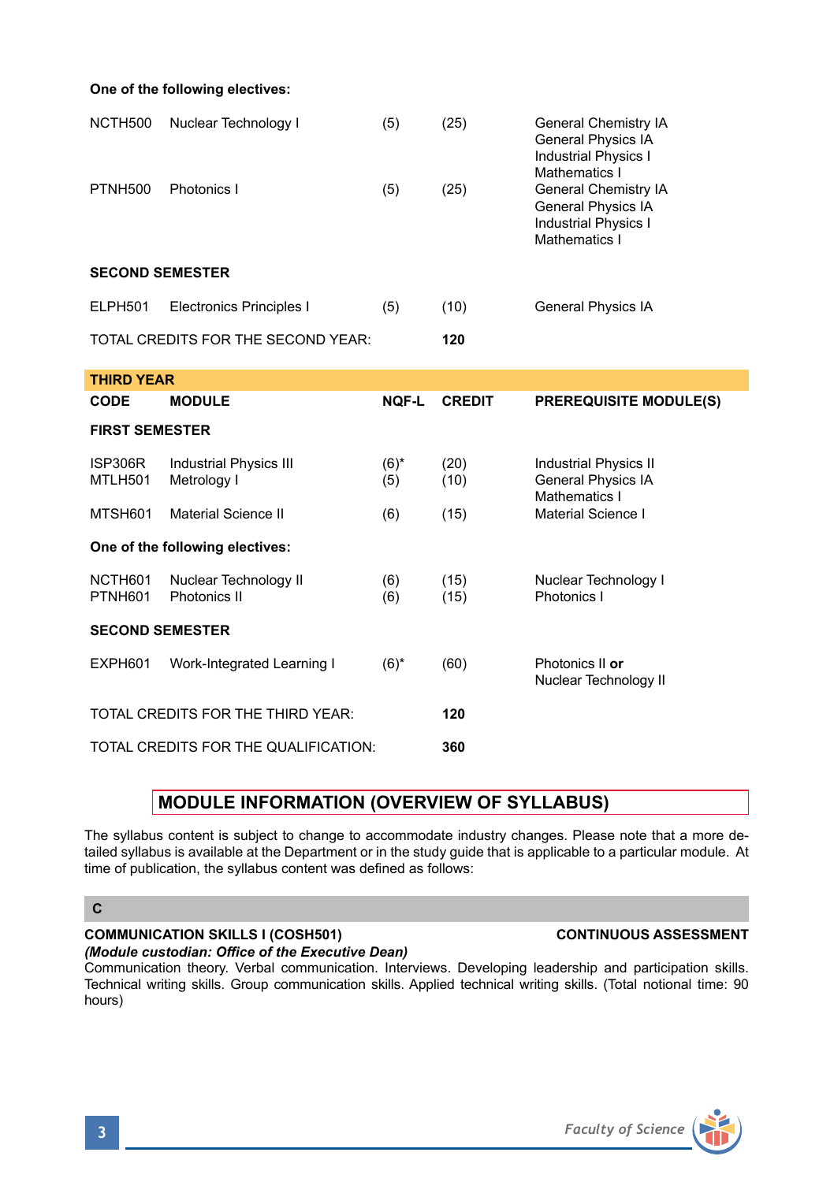**One of the following electives:**

| NCTH500                | Nuclear Technology I               | (5) | (25) | General Chemistry IA<br><b>General Physics IA</b><br><b>Industrial Physics I</b><br>Mathematics I |
|------------------------|------------------------------------|-----|------|---------------------------------------------------------------------------------------------------|
| <b>PTNH500</b>         | Photonics I                        | (5) | (25) | General Chemistry IA<br><b>General Physics IA</b><br><b>Industrial Physics I</b><br>Mathematics I |
| <b>SECOND SEMESTER</b> |                                    |     |      |                                                                                                   |
| ELPH501                | <b>Electronics Principles I</b>    | (5) | (10) | <b>General Physics IA</b>                                                                         |
|                        | TOTAL CREDITS FOR THE SECOND YEAR: |     | 120  |                                                                                                   |
| <b>TUIDD VEAD</b>      |                                    |     |      |                                                                                                   |

| THIRD YEAR                               |                                              |                |               |                                                                     |
|------------------------------------------|----------------------------------------------|----------------|---------------|---------------------------------------------------------------------|
| <b>CODE</b>                              | <b>MODULE</b>                                | <b>NOF-L</b>   | <b>CREDIT</b> | <b>PREREQUISITE MODULE(S)</b>                                       |
| <b>FIRST SEMESTER</b>                    |                                              |                |               |                                                                     |
| ISP306R<br>MTLH501                       | <b>Industrial Physics III</b><br>Metrology I | $(6)^*$<br>(5) | (20)<br>(10)  | Industrial Physics II<br><b>General Physics IA</b><br>Mathematics I |
| MTSH601                                  | <b>Material Science II</b>                   | (6)            | (15)          | Material Science I                                                  |
| One of the following electives:          |                                              |                |               |                                                                     |
| NCTH601<br>PTNH601                       | Nuclear Technology II<br>Photonics II        | (6)<br>(6)     | (15)<br>(15)  | Nuclear Technology I<br>Photonics I                                 |
| <b>SECOND SEMESTER</b>                   |                                              |                |               |                                                                     |
| EXPH601                                  | Work-Integrated Learning I                   | $(6)^*$        | (60)          | Photonics II or<br>Nuclear Technology II                            |
| TOTAL CREDITS FOR THE THIRD YEAR:<br>120 |                                              |                |               |                                                                     |
| TOTAL CREDITS FOR THE QUALIFICATION:     |                                              |                | 360           |                                                                     |

## **MODULE INFORMATION (OVERVIEW OF SYLLABUS)**

The syllabus content is subject to change to accommodate industry changes. Please note that a more detailed syllabus is available at the Department or in the study guide that is applicable to a particular module. At time of publication, the syllabus content was defined as follows:

## **C**

## **COMMUNICATION SKILLS I (COSH501) CONTINUOUS ASSESSMENT**

*(Module custodian: Office of the Executive Dean)* Communication theory. Verbal communication. Interviews. Developing leadership and participation skills. Technical writing skills. Group communication skills. Applied technical writing skills. (Total notional time: 90 hours)

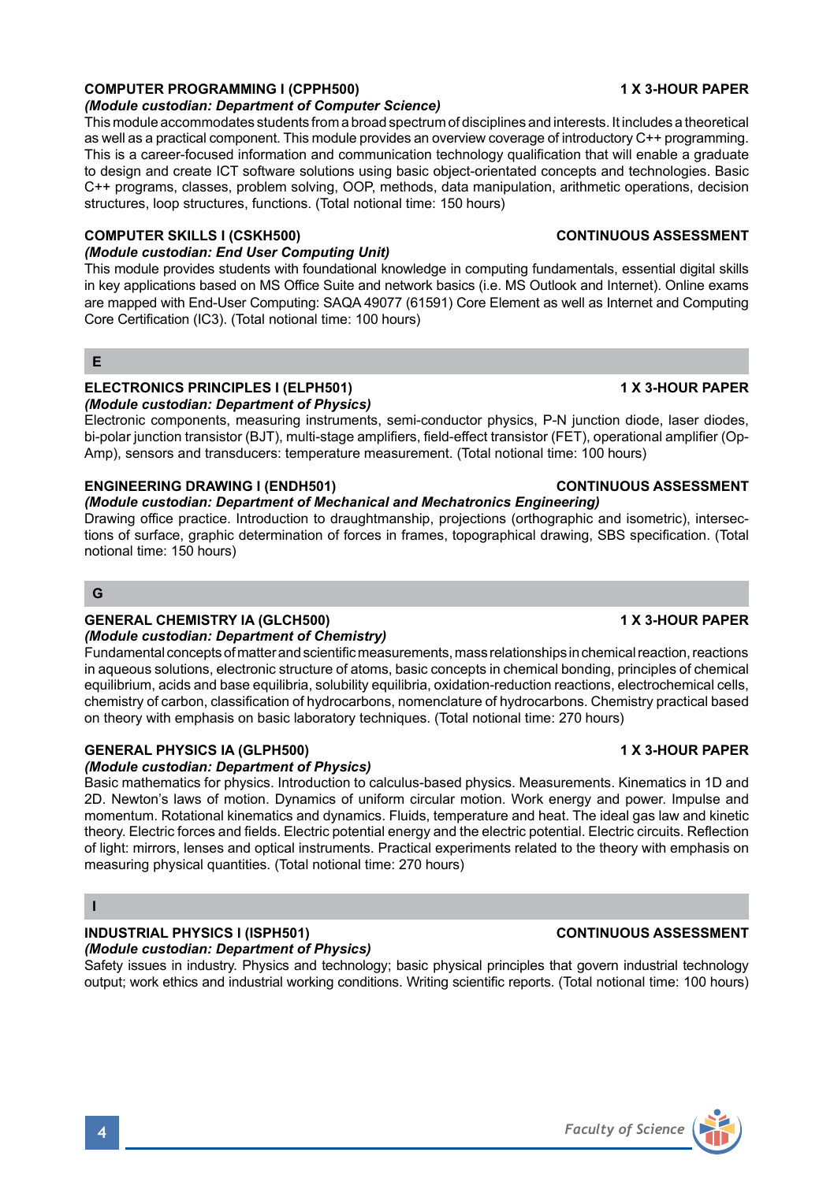## **COMPUTER PROGRAMMING I (CPPH500) 1 X 3-HOUR PAPER**

### *(Module custodian: Department of Computer Science)*

This module accommodates students from a broad spectrum of disciplines and interests. It includes a theoretical as well as a practical component. This module provides an overview coverage of introductory C++ programming. This is a career-focused information and communication technology qualification that will enable a graduate to design and create ICT software solutions using basic object-orientated concepts and technologies. Basic C++ programs, classes, problem solving, OOP, methods, data manipulation, arithmetic operations, decision structures, loop structures, functions. (Total notional time: 150 hours)

### **COMPUTER SKILLS I (CSKH500) CONTINUOUS ASSESSMENT**

## *(Module custodian: End User Computing Unit)*

This module provides students with foundational knowledge in computing fundamentals, essential digital skills in key applications based on MS Office Suite and network basics (i.e. MS Outlook and Internet). Online exams are mapped with End-User Computing: SAQA 49077 (61591) Core Element as well as Internet and Computing Core Certification (IC3). (Total notional time: 100 hours)

## **E**

## **ELECTRONICS PRINCIPLES I (ELPH501) 1 X 3-HOUR PAPER**

### *(Module custodian: Department of Physics)*

Electronic components, measuring instruments, semi-conductor physics, P-N junction diode, laser diodes, bi-polar junction transistor (BJT), multi-stage amplifiers, field-effect transistor (FET), operational amplifier (Op-Amp), sensors and transducers: temperature measurement. (Total notional time: 100 hours)

## **ENGINEERING DRAWING I (ENDH501) CONTINUOUS ASSESSMENT**

## *(Module custodian: Department of Mechanical and Mechatronics Engineering)*

Drawing office practice. Introduction to draughtmanship, projections (orthographic and isometric), intersections of surface, graphic determination of forces in frames, topographical drawing, SBS specification. (Total notional time: 150 hours)

### **G**

## **GENERAL CHEMISTRY IA (GLCH500) 1 X 3-HOUR PAPER**

## *(Module custodian: Department of Chemistry)*

Fundamental concepts of matter and scientific measurements, mass relationships in chemical reaction, reactions in aqueous solutions, electronic structure of atoms, basic concepts in chemical bonding, principles of chemical equilibrium, acids and base equilibria, solubility equilibria, oxidation-reduction reactions, electrochemical cells, chemistry of carbon, classification of hydrocarbons, nomenclature of hydrocarbons. Chemistry practical based on theory with emphasis on basic laboratory techniques. (Total notional time: 270 hours)

## **GENERAL PHYSICS IA (GLPH500) 1 X 3-HOUR PAPER**

## *(Module custodian: Department of Physics)*

Basic mathematics for physics. Introduction to calculus-based physics. Measurements. Kinematics in 1D and 2D. Newton's laws of motion. Dynamics of uniform circular motion. Work energy and power. Impulse and momentum. Rotational kinematics and dynamics. Fluids, temperature and heat. The ideal gas law and kinetic theory. Electric forces and fields. Electric potential energy and the electric potential. Electric circuits. Reflection of light: mirrors, lenses and optical instruments. Practical experiments related to the theory with emphasis on measuring physical quantities. (Total notional time: 270 hours)

## **I**

### **INDUSTRIAL PHYSICS I (ISPH501) CONTINUOUS ASSESSMENT** *(Module custodian: Department of Physics)*

Safety issues in industry. Physics and technology; basic physical principles that govern industrial technology output; work ethics and industrial working conditions. Writing scientific reports. (Total notional time: 100 hours)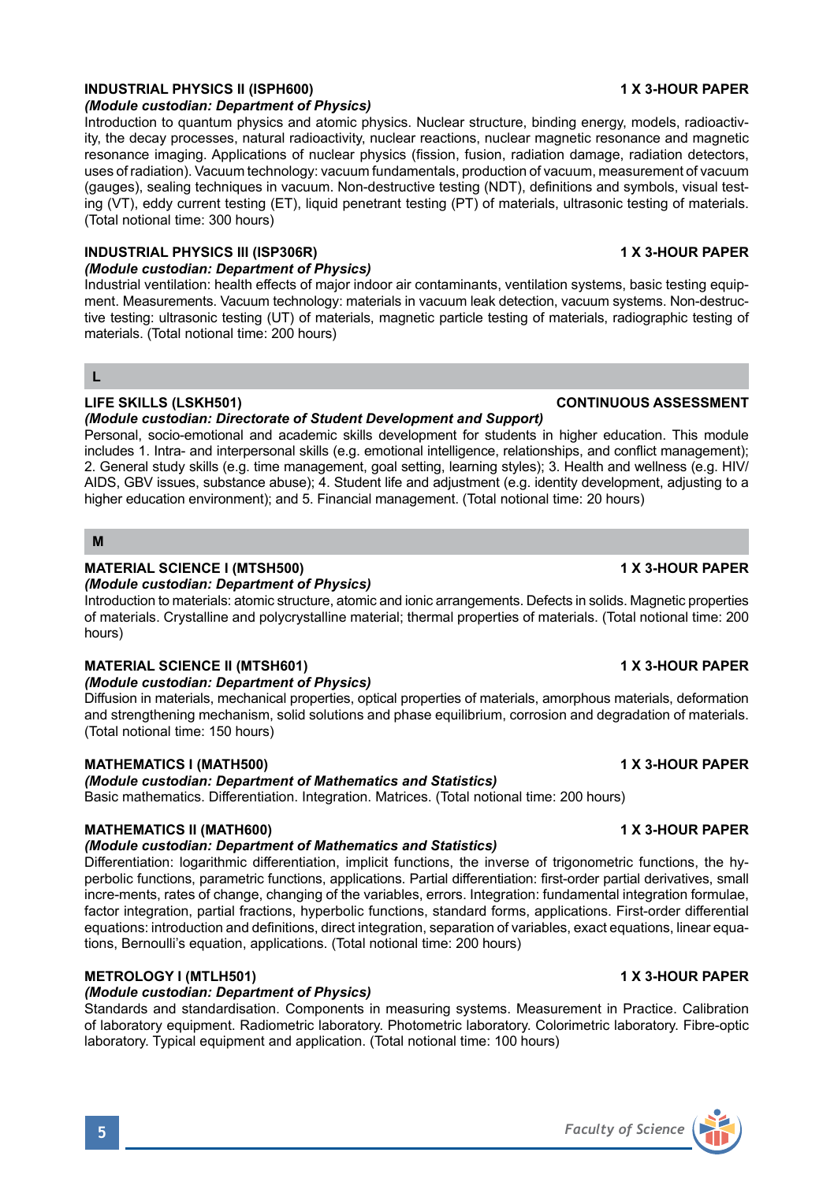## **INDUSTRIAL PHYSICS II (ISPH600) 1 X 3-HOUR PAPER**

## *(Module custodian: Department of Physics)*

Introduction to quantum physics and atomic physics. Nuclear structure, binding energy, models, radioactivity, the decay processes, natural radioactivity, nuclear reactions, nuclear magnetic resonance and magnetic resonance imaging. Applications of nuclear physics (fission, fusion, radiation damage, radiation detectors, uses of radiation). Vacuum technology: vacuum fundamentals, production of vacuum, measurement of vacuum (gauges), sealing techniques in vacuum. Non-destructive testing (NDT), definitions and symbols, visual testing (VT), eddy current testing (ET), liquid penetrant testing (PT) of materials, ultrasonic testing of materials. (Total notional time: 300 hours)

## **INDUSTRIAL PHYSICS III (ISP306R) 1 X 3-HOUR PAPER**

## *(Module custodian: Department of Physics)*

Industrial ventilation: health effects of major indoor air contaminants, ventilation systems, basic testing equipment. Measurements. Vacuum technology: materials in vacuum leak detection, vacuum systems. Non-destructive testing: ultrasonic testing (UT) of materials, magnetic particle testing of materials, radiographic testing of materials. (Total notional time: 200 hours)

## **L**

## **LIFE SKILLS (LSKH501) CONTINUOUS ASSESSMENT**

### *(Module custodian: Directorate of Student Development and Support)*

Personal, socio-emotional and academic skills development for students in higher education. This module includes 1. Intra- and interpersonal skills (e.g. emotional intelligence, relationships, and conflict management); 2. General study skills (e.g. time management, goal setting, learning styles); 3. Health and wellness (e.g. HIV/ AIDS, GBV issues, substance abuse); 4. Student life and adjustment (e.g. identity development, adjusting to a higher education environment); and 5. Financial management. (Total notional time: 20 hours)

## **M**

## **MATERIAL SCIENCE I (MTSH500) 1 X 3-HOUR PAPER**

*(Module custodian: Department of Physics)*

Introduction to materials: atomic structure, atomic and ionic arrangements. Defects in solids. Magnetic properties of materials. Crystalline and polycrystalline material; thermal properties of materials. (Total notional time: 200 hours)

## **MATERIAL SCIENCE II (MTSH601) 1 X 3-HOUR PAPER**

## *(Module custodian: Department of Physics)*

Diffusion in materials, mechanical properties, optical properties of materials, amorphous materials, deformation and strengthening mechanism, solid solutions and phase equilibrium, corrosion and degradation of materials. (Total notional time: 150 hours)

## **MATHEMATICS I (MATH500) 1 X 3-HOUR PAPER**

## *(Module custodian: Department of Mathematics and Statistics)*

Basic mathematics. Differentiation. Integration. Matrices. (Total notional time: 200 hours)

## **MATHEMATICS II (MATH600) 1 X 3-HOUR PAPER**

## *(Module custodian: Department of Mathematics and Statistics)*

Differentiation: logarithmic differentiation, implicit functions, the inverse of trigonometric functions, the hyperbolic functions, parametric functions, applications. Partial differentiation: first-order partial derivatives, small incre-ments, rates of change, changing of the variables, errors. Integration: fundamental integration formulae, factor integration, partial fractions, hyperbolic functions, standard forms, applications. First-order differential equations: introduction and definitions, direct integration, separation of variables, exact equations, linear equations, Bernoulli's equation, applications. (Total notional time: 200 hours)

## **METROLOGY I (MTLH501) 1 X 3-HOUR PAPER**

## *(Module custodian: Department of Physics)*

Standards and standardisation. Components in measuring systems. Measurement in Practice. Calibration of laboratory equipment. Radiometric laboratory. Photometric laboratory. Colorimetric laboratory. Fibre-optic laboratory. Typical equipment and application. (Total notional time: 100 hours)